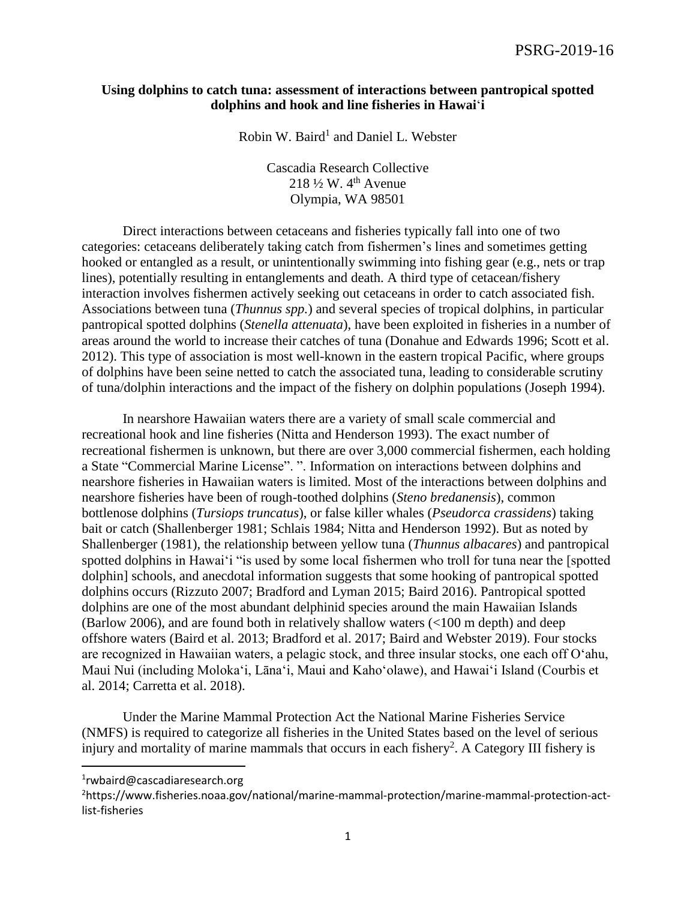### **Using dolphins to catch tuna: assessment of interactions between pantropical spotted dolphins and hook and line fisheries in Hawai**'**i**

Robin W. Baird<sup>1</sup> and Daniel L. Webster

Cascadia Research Collective 218  $\frac{1}{2}$  W. 4<sup>th</sup> Avenue Olympia, WA 98501

Direct interactions between cetaceans and fisheries typically fall into one of two categories: cetaceans deliberately taking catch from fishermen's lines and sometimes getting hooked or entangled as a result, or unintentionally swimming into fishing gear (e.g., nets or trap lines), potentially resulting in entanglements and death. A third type of cetacean/fishery interaction involves fishermen actively seeking out cetaceans in order to catch associated fish. Associations between tuna (*Thunnus spp.*) and several species of tropical dolphins, in particular pantropical spotted dolphins (*Stenella attenuata*), have been exploited in fisheries in a number of areas around the world to increase their catches of tuna (Donahue and Edwards 1996; Scott et al. 2012). This type of association is most well-known in the eastern tropical Pacific, where groups of dolphins have been seine netted to catch the associated tuna, leading to considerable scrutiny of tuna/dolphin interactions and the impact of the fishery on dolphin populations (Joseph 1994).

In nearshore Hawaiian waters there are a variety of small scale commercial and recreational hook and line fisheries (Nitta and Henderson 1993). The exact number of recreational fishermen is unknown, but there are over 3,000 commercial fishermen, each holding a State "Commercial Marine License". ". Information on interactions between dolphins and nearshore fisheries in Hawaiian waters is limited. Most of the interactions between dolphins and nearshore fisheries have been of rough-toothed dolphins (*Steno bredanensis*), common bottlenose dolphins (*Tursiops truncatus*), or false killer whales (*Pseudorca crassidens*) taking bait or catch (Shallenberger 1981; Schlais 1984; Nitta and Henderson 1992). But as noted by Shallenberger (1981), the relationship between yellow tuna (*Thunnus albacares*) and pantropical spotted dolphins in Hawai'i "is used by some local fishermen who troll for tuna near the [spotted dolphin] schools, and anecdotal information suggests that some hooking of pantropical spotted dolphins occurs (Rizzuto 2007; Bradford and Lyman 2015; Baird 2016). Pantropical spotted dolphins are one of the most abundant delphinid species around the main Hawaiian Islands (Barlow 2006), and are found both in relatively shallow waters (<100 m depth) and deep offshore waters (Baird et al. 2013; Bradford et al. 2017; Baird and Webster 2019). Four stocks are recognized in Hawaiian waters, a pelagic stock, and three insular stocks, one each off O'ahu, Maui Nui (including Moloka'i, Lāna'i, Maui and Kaho'olawe), and Hawai'i Island (Courbis et al. 2014; Carretta et al. 2018).

Under the Marine Mammal Protection Act the National Marine Fisheries Service (NMFS) is required to categorize all fisheries in the United States based on the level of serious injury and mortality of marine mammals that occurs in each fishery<sup>2</sup>. A Category III fishery is

 $\overline{\phantom{a}}$ 

<sup>1</sup> rwbaird@cascadiaresearch.org

<sup>2</sup>https://www.fisheries.noaa.gov/national/marine-mammal-protection/marine-mammal-protection-actlist-fisheries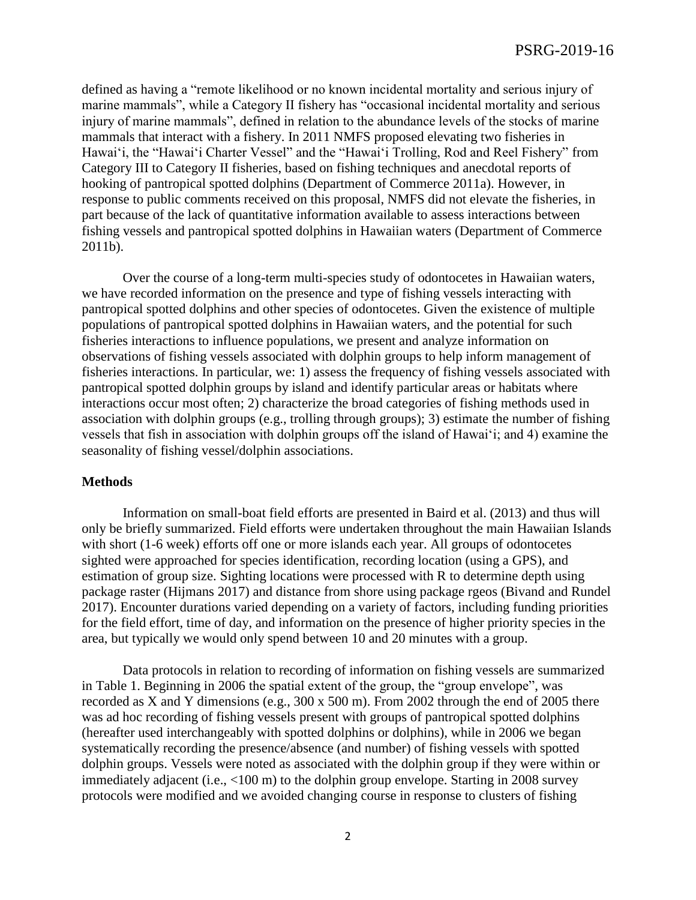defined as having a "remote likelihood or no known incidental mortality and serious injury of marine mammals", while a Category II fishery has "occasional incidental mortality and serious injury of marine mammals", defined in relation to the abundance levels of the stocks of marine mammals that interact with a fishery. In 2011 NMFS proposed elevating two fisheries in Hawai'i, the "Hawai'i Charter Vessel" and the "Hawai'i Trolling, Rod and Reel Fishery" from Category III to Category II fisheries, based on fishing techniques and anecdotal reports of hooking of pantropical spotted dolphins (Department of Commerce 2011a). However, in response to public comments received on this proposal, NMFS did not elevate the fisheries, in part because of the lack of quantitative information available to assess interactions between fishing vessels and pantropical spotted dolphins in Hawaiian waters (Department of Commerce 2011b).

Over the course of a long-term multi-species study of odontocetes in Hawaiian waters, we have recorded information on the presence and type of fishing vessels interacting with pantropical spotted dolphins and other species of odontocetes. Given the existence of multiple populations of pantropical spotted dolphins in Hawaiian waters, and the potential for such fisheries interactions to influence populations, we present and analyze information on observations of fishing vessels associated with dolphin groups to help inform management of fisheries interactions. In particular, we: 1) assess the frequency of fishing vessels associated with pantropical spotted dolphin groups by island and identify particular areas or habitats where interactions occur most often; 2) characterize the broad categories of fishing methods used in association with dolphin groups (e.g., trolling through groups); 3) estimate the number of fishing vessels that fish in association with dolphin groups off the island of Hawai'i; and 4) examine the seasonality of fishing vessel/dolphin associations.

#### **Methods**

Information on small-boat field efforts are presented in Baird et al. (2013) and thus will only be briefly summarized. Field efforts were undertaken throughout the main Hawaiian Islands with short (1-6 week) efforts off one or more islands each year. All groups of odontocetes sighted were approached for species identification, recording location (using a GPS), and estimation of group size. Sighting locations were processed with R to determine depth using package raster (Hijmans 2017) and distance from shore using package rgeos (Bivand and Rundel 2017). Encounter durations varied depending on a variety of factors, including funding priorities for the field effort, time of day, and information on the presence of higher priority species in the area, but typically we would only spend between 10 and 20 minutes with a group.

Data protocols in relation to recording of information on fishing vessels are summarized in Table 1. Beginning in 2006 the spatial extent of the group, the "group envelope", was recorded as X and Y dimensions (e.g., 300 x 500 m). From 2002 through the end of 2005 there was ad hoc recording of fishing vessels present with groups of pantropical spotted dolphins (hereafter used interchangeably with spotted dolphins or dolphins), while in 2006 we began systematically recording the presence/absence (and number) of fishing vessels with spotted dolphin groups. Vessels were noted as associated with the dolphin group if they were within or immediately adjacent (i.e., <100 m) to the dolphin group envelope. Starting in 2008 survey protocols were modified and we avoided changing course in response to clusters of fishing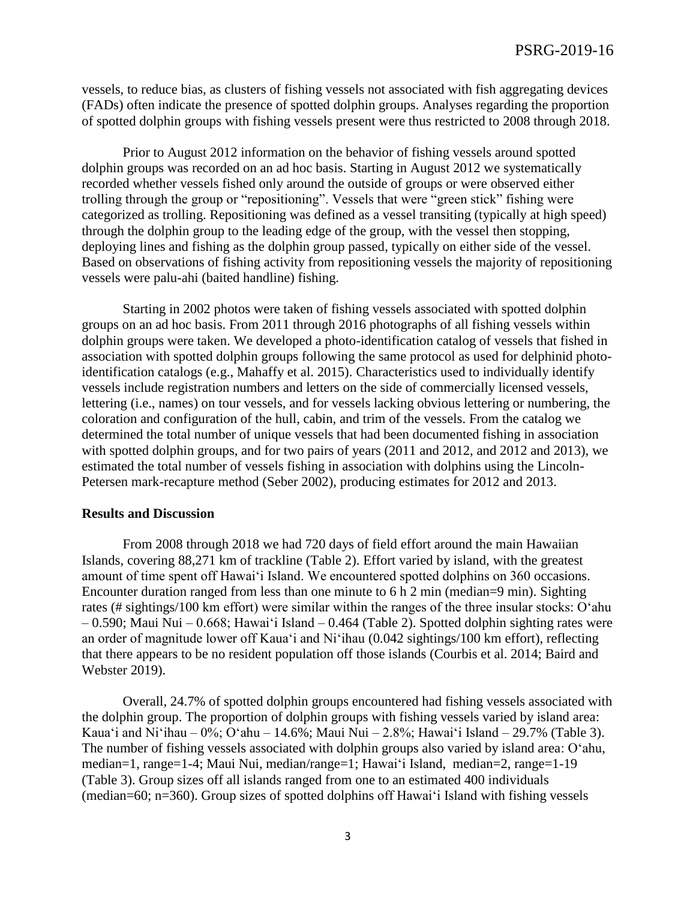vessels, to reduce bias, as clusters of fishing vessels not associated with fish aggregating devices (FADs) often indicate the presence of spotted dolphin groups. Analyses regarding the proportion of spotted dolphin groups with fishing vessels present were thus restricted to 2008 through 2018.

Prior to August 2012 information on the behavior of fishing vessels around spotted dolphin groups was recorded on an ad hoc basis. Starting in August 2012 we systematically recorded whether vessels fished only around the outside of groups or were observed either trolling through the group or "repositioning". Vessels that were "green stick" fishing were categorized as trolling. Repositioning was defined as a vessel transiting (typically at high speed) through the dolphin group to the leading edge of the group, with the vessel then stopping, deploying lines and fishing as the dolphin group passed, typically on either side of the vessel. Based on observations of fishing activity from repositioning vessels the majority of repositioning vessels were palu-ahi (baited handline) fishing.

Starting in 2002 photos were taken of fishing vessels associated with spotted dolphin groups on an ad hoc basis. From 2011 through 2016 photographs of all fishing vessels within dolphin groups were taken. We developed a photo-identification catalog of vessels that fished in association with spotted dolphin groups following the same protocol as used for delphinid photoidentification catalogs (e.g., Mahaffy et al. 2015). Characteristics used to individually identify vessels include registration numbers and letters on the side of commercially licensed vessels, lettering (i.e., names) on tour vessels, and for vessels lacking obvious lettering or numbering, the coloration and configuration of the hull, cabin, and trim of the vessels. From the catalog we determined the total number of unique vessels that had been documented fishing in association with spotted dolphin groups, and for two pairs of years (2011 and 2012, and 2012 and 2013), we estimated the total number of vessels fishing in association with dolphins using the Lincoln-Petersen mark-recapture method (Seber 2002), producing estimates for 2012 and 2013.

#### **Results and Discussion**

From 2008 through 2018 we had 720 days of field effort around the main Hawaiian Islands, covering 88,271 km of trackline (Table 2). Effort varied by island, with the greatest amount of time spent off Hawai'i Island. We encountered spotted dolphins on 360 occasions. Encounter duration ranged from less than one minute to 6 h 2 min (median=9 min). Sighting rates (# sightings/100 km effort) were similar within the ranges of the three insular stocks: O'ahu – 0.590; Maui Nui – 0.668; Hawai'i Island – 0.464 (Table 2). Spotted dolphin sighting rates were an order of magnitude lower off Kaua'i and Ni'ihau (0.042 sightings/100 km effort), reflecting that there appears to be no resident population off those islands (Courbis et al. 2014; Baird and Webster 2019).

Overall, 24.7% of spotted dolphin groups encountered had fishing vessels associated with the dolphin group. The proportion of dolphin groups with fishing vessels varied by island area: Kaua'i and Ni'ihau – 0%; O'ahu – 14.6%; Maui Nui – 2.8%; Hawai'i Island – 29.7% (Table 3). The number of fishing vessels associated with dolphin groups also varied by island area: O'ahu, median=1, range=1-4; Maui Nui, median/range=1; Hawai'i Island, median=2, range=1-19 (Table 3). Group sizes off all islands ranged from one to an estimated 400 individuals (median=60; n=360). Group sizes of spotted dolphins off Hawai'i Island with fishing vessels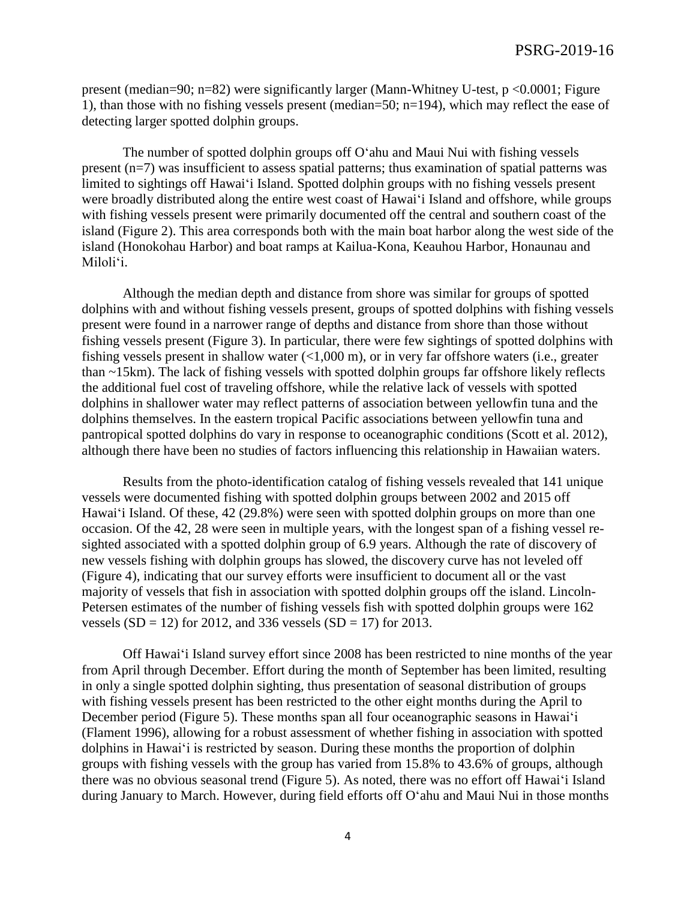present (median=90; n=82) were significantly larger (Mann-Whitney U-test, p <0.0001; Figure 1), than those with no fishing vessels present (median=50; n=194), which may reflect the ease of detecting larger spotted dolphin groups.

The number of spotted dolphin groups off O'ahu and Maui Nui with fishing vessels present (n=7) was insufficient to assess spatial patterns; thus examination of spatial patterns was limited to sightings off Hawai'i Island. Spotted dolphin groups with no fishing vessels present were broadly distributed along the entire west coast of Hawai'i Island and offshore, while groups with fishing vessels present were primarily documented off the central and southern coast of the island (Figure 2). This area corresponds both with the main boat harbor along the west side of the island (Honokohau Harbor) and boat ramps at Kailua-Kona, Keauhou Harbor, Honaunau and Miloli'i.

Although the median depth and distance from shore was similar for groups of spotted dolphins with and without fishing vessels present, groups of spotted dolphins with fishing vessels present were found in a narrower range of depths and distance from shore than those without fishing vessels present (Figure 3). In particular, there were few sightings of spotted dolphins with fishing vessels present in shallow water (<1,000 m), or in very far offshore waters (i.e., greater than ~15km). The lack of fishing vessels with spotted dolphin groups far offshore likely reflects the additional fuel cost of traveling offshore, while the relative lack of vessels with spotted dolphins in shallower water may reflect patterns of association between yellowfin tuna and the dolphins themselves. In the eastern tropical Pacific associations between yellowfin tuna and pantropical spotted dolphins do vary in response to oceanographic conditions (Scott et al. 2012), although there have been no studies of factors influencing this relationship in Hawaiian waters.

Results from the photo-identification catalog of fishing vessels revealed that 141 unique vessels were documented fishing with spotted dolphin groups between 2002 and 2015 off Hawai'i Island. Of these, 42 (29.8%) were seen with spotted dolphin groups on more than one occasion. Of the 42, 28 were seen in multiple years, with the longest span of a fishing vessel resighted associated with a spotted dolphin group of 6.9 years. Although the rate of discovery of new vessels fishing with dolphin groups has slowed, the discovery curve has not leveled off (Figure 4), indicating that our survey efforts were insufficient to document all or the vast majority of vessels that fish in association with spotted dolphin groups off the island. Lincoln-Petersen estimates of the number of fishing vessels fish with spotted dolphin groups were 162 vessels  $(SD = 12)$  for 2012, and 336 vessels  $(SD = 17)$  for 2013.

Off Hawai'i Island survey effort since 2008 has been restricted to nine months of the year from April through December. Effort during the month of September has been limited, resulting in only a single spotted dolphin sighting, thus presentation of seasonal distribution of groups with fishing vessels present has been restricted to the other eight months during the April to December period (Figure 5). These months span all four oceanographic seasons in Hawai'i (Flament 1996), allowing for a robust assessment of whether fishing in association with spotted dolphins in Hawai'i is restricted by season. During these months the proportion of dolphin groups with fishing vessels with the group has varied from 15.8% to 43.6% of groups, although there was no obvious seasonal trend (Figure 5). As noted, there was no effort off Hawai'i Island during January to March. However, during field efforts off O'ahu and Maui Nui in those months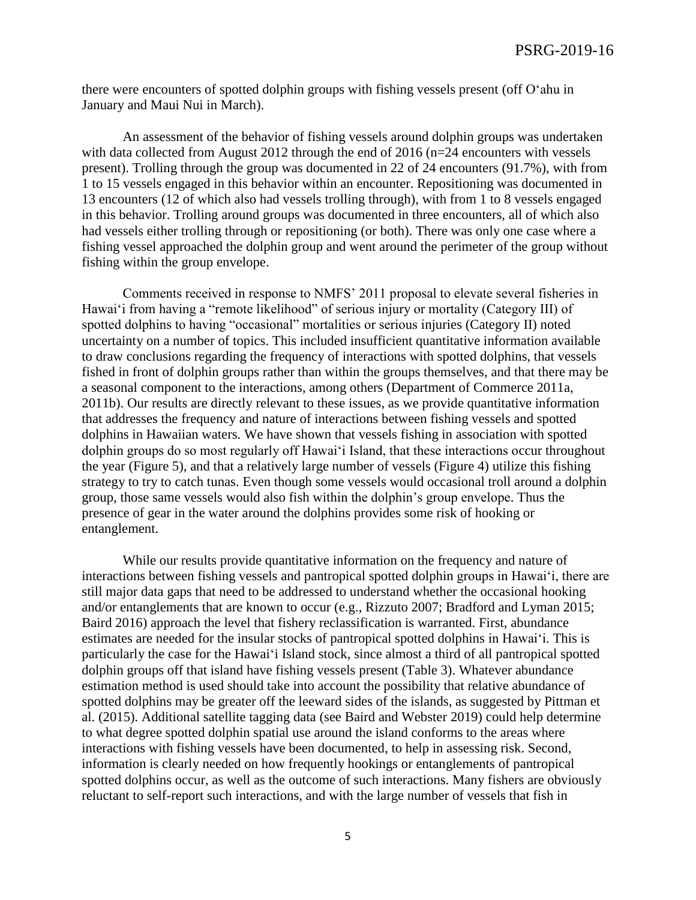there were encounters of spotted dolphin groups with fishing vessels present (off O'ahu in January and Maui Nui in March).

An assessment of the behavior of fishing vessels around dolphin groups was undertaken with data collected from August 2012 through the end of 2016 (n=24 encounters with vessels present). Trolling through the group was documented in 22 of 24 encounters (91.7%), with from 1 to 15 vessels engaged in this behavior within an encounter. Repositioning was documented in 13 encounters (12 of which also had vessels trolling through), with from 1 to 8 vessels engaged in this behavior. Trolling around groups was documented in three encounters, all of which also had vessels either trolling through or repositioning (or both). There was only one case where a fishing vessel approached the dolphin group and went around the perimeter of the group without fishing within the group envelope.

Comments received in response to NMFS' 2011 proposal to elevate several fisheries in Hawai'i from having a "remote likelihood" of serious injury or mortality (Category III) of spotted dolphins to having "occasional" mortalities or serious injuries (Category II) noted uncertainty on a number of topics. This included insufficient quantitative information available to draw conclusions regarding the frequency of interactions with spotted dolphins, that vessels fished in front of dolphin groups rather than within the groups themselves, and that there may be a seasonal component to the interactions, among others (Department of Commerce 2011a, 2011b). Our results are directly relevant to these issues, as we provide quantitative information that addresses the frequency and nature of interactions between fishing vessels and spotted dolphins in Hawaiian waters. We have shown that vessels fishing in association with spotted dolphin groups do so most regularly off Hawai'i Island, that these interactions occur throughout the year (Figure 5), and that a relatively large number of vessels (Figure 4) utilize this fishing strategy to try to catch tunas. Even though some vessels would occasional troll around a dolphin group, those same vessels would also fish within the dolphin's group envelope. Thus the presence of gear in the water around the dolphins provides some risk of hooking or entanglement.

While our results provide quantitative information on the frequency and nature of interactions between fishing vessels and pantropical spotted dolphin groups in Hawai'i, there are still major data gaps that need to be addressed to understand whether the occasional hooking and/or entanglements that are known to occur (e.g., Rizzuto 2007; Bradford and Lyman 2015; Baird 2016) approach the level that fishery reclassification is warranted. First, abundance estimates are needed for the insular stocks of pantropical spotted dolphins in Hawai'i. This is particularly the case for the Hawai'i Island stock, since almost a third of all pantropical spotted dolphin groups off that island have fishing vessels present (Table 3). Whatever abundance estimation method is used should take into account the possibility that relative abundance of spotted dolphins may be greater off the leeward sides of the islands, as suggested by Pittman et al. (2015). Additional satellite tagging data (see Baird and Webster 2019) could help determine to what degree spotted dolphin spatial use around the island conforms to the areas where interactions with fishing vessels have been documented, to help in assessing risk. Second, information is clearly needed on how frequently hookings or entanglements of pantropical spotted dolphins occur, as well as the outcome of such interactions. Many fishers are obviously reluctant to self-report such interactions, and with the large number of vessels that fish in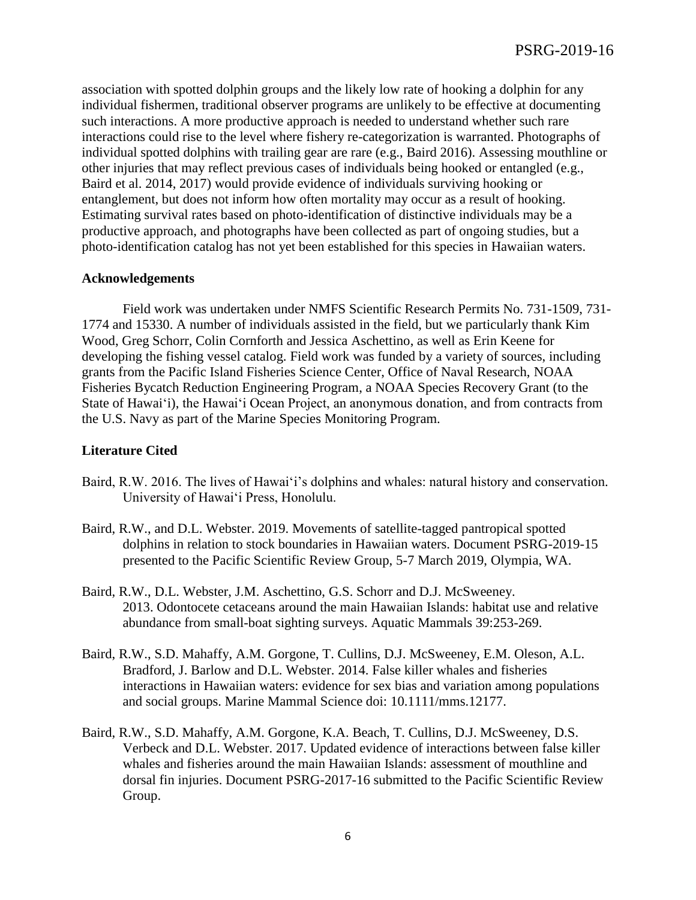association with spotted dolphin groups and the likely low rate of hooking a dolphin for any individual fishermen, traditional observer programs are unlikely to be effective at documenting such interactions. A more productive approach is needed to understand whether such rare interactions could rise to the level where fishery re-categorization is warranted. Photographs of individual spotted dolphins with trailing gear are rare (e.g., Baird 2016). Assessing mouthline or other injuries that may reflect previous cases of individuals being hooked or entangled (e.g., Baird et al. 2014, 2017) would provide evidence of individuals surviving hooking or entanglement, but does not inform how often mortality may occur as a result of hooking. Estimating survival rates based on photo-identification of distinctive individuals may be a productive approach, and photographs have been collected as part of ongoing studies, but a photo-identification catalog has not yet been established for this species in Hawaiian waters.

### **Acknowledgements**

Field work was undertaken under NMFS Scientific Research Permits No. 731-1509, 731- 1774 and 15330. A number of individuals assisted in the field, but we particularly thank Kim Wood, Greg Schorr, Colin Cornforth and Jessica Aschettino, as well as Erin Keene for developing the fishing vessel catalog. Field work was funded by a variety of sources, including grants from the Pacific Island Fisheries Science Center, Office of Naval Research, NOAA Fisheries Bycatch Reduction Engineering Program, a NOAA Species Recovery Grant (to the State of Hawai'i), the Hawai'i Ocean Project, an anonymous donation, and from contracts from the U.S. Navy as part of the Marine Species Monitoring Program.

### **Literature Cited**

- Baird, R.W. 2016. The lives of Hawai'i's dolphins and whales: natural history and conservation. University of Hawai'i Press, Honolulu.
- Baird, R.W., and D.L. Webster. 2019. Movements of satellite-tagged pantropical spotted dolphins in relation to stock boundaries in Hawaiian waters. Document PSRG-2019-15 presented to the Pacific Scientific Review Group, 5-7 March 2019, Olympia, WA.
- Baird, R.W., D.L. Webster, J.M. Aschettino, G.S. Schorr and D.J. McSweeney. 2013. Odontocete cetaceans around the main Hawaiian Islands: habitat use and relative abundance from small-boat sighting surveys. Aquatic Mammals 39:253-269.
- Baird, R.W., S.D. Mahaffy, A.M. Gorgone, T. Cullins, D.J. McSweeney, E.M. Oleson, A.L. Bradford, J. Barlow and D.L. Webster. 2014. False killer whales and fisheries interactions in Hawaiian waters: evidence for sex bias and variation among populations and social groups. Marine Mammal Science doi: 10.1111/mms.12177.
- Baird, R.W., S.D. Mahaffy, A.M. Gorgone, K.A. Beach, T. Cullins, D.J. McSweeney, D.S. Verbeck and D.L. Webster. 2017. Updated evidence of interactions between false killer whales and fisheries around the main Hawaiian Islands: assessment of mouthline and dorsal fin injuries. Document PSRG-2017-16 submitted to the Pacific Scientific Review Group.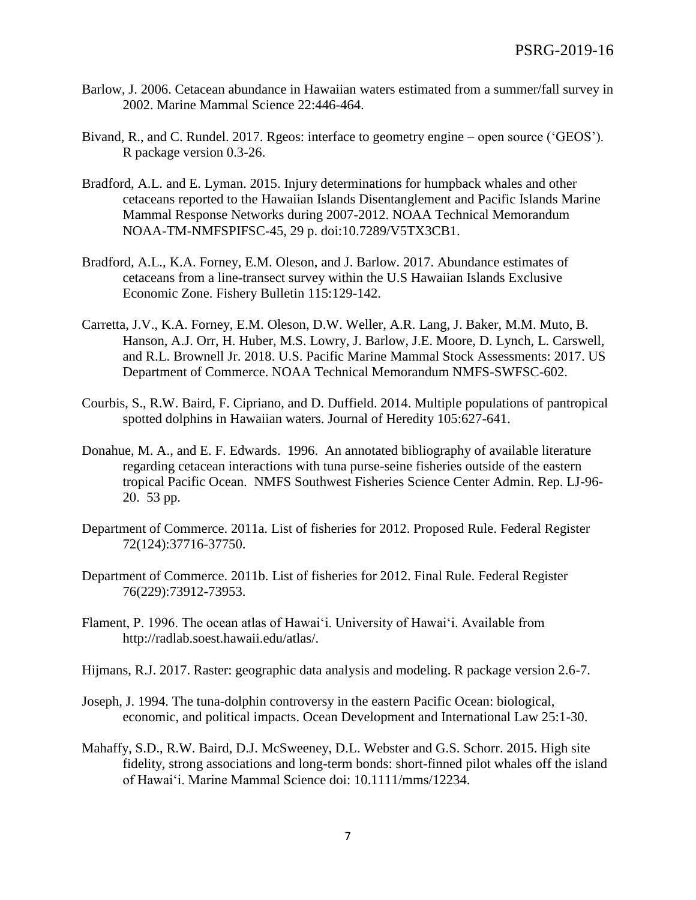- Barlow, J. 2006. Cetacean abundance in Hawaiian waters estimated from a summer/fall survey in 2002. Marine Mammal Science 22:446-464.
- Bivand, R., and C. Rundel. 2017. Rgeos: interface to geometry engine open source ('GEOS'). R package version 0.3-26.
- Bradford, A.L. and E. Lyman. 2015. Injury determinations for humpback whales and other cetaceans reported to the Hawaiian Islands Disentanglement and Pacific Islands Marine Mammal Response Networks during 2007-2012. NOAA Technical Memorandum NOAA-TM-NMFSPIFSC-45, 29 p. doi:10.7289/V5TX3CB1.
- Bradford, A.L., K.A. Forney, E.M. Oleson, and J. Barlow. 2017. Abundance estimates of cetaceans from a line-transect survey within the U.S Hawaiian Islands Exclusive Economic Zone. Fishery Bulletin 115:129-142.
- Carretta, J.V., K.A. Forney, E.M. Oleson, D.W. Weller, A.R. Lang, J. Baker, M.M. Muto, B. Hanson, A.J. Orr, H. Huber, M.S. Lowry, J. Barlow, J.E. Moore, D. Lynch, L. Carswell, and R.L. Brownell Jr. 2018. U.S. Pacific Marine Mammal Stock Assessments: 2017. US Department of Commerce. NOAA Technical Memorandum NMFS-SWFSC-602.
- Courbis, S., R.W. Baird, F. Cipriano, and D. Duffield. 2014. Multiple populations of pantropical spotted dolphins in Hawaiian waters. Journal of Heredity 105:627-641.
- Donahue, M. A., and E. F. Edwards. 1996. An annotated bibliography of available literature regarding cetacean interactions with tuna purse-seine fisheries outside of the eastern tropical Pacific Ocean. NMFS Southwest Fisheries Science Center Admin. Rep. LJ-96- 20. 53 pp.
- Department of Commerce. 2011a. List of fisheries for 2012. Proposed Rule. Federal Register 72(124):37716-37750.
- Department of Commerce. 2011b. List of fisheries for 2012. Final Rule. Federal Register 76(229):73912-73953.
- Flament, P. 1996. The ocean atlas of Hawai'i. University of Hawai'i. Available from http://radlab.soest.hawaii.edu/atlas/.
- Hijmans, R.J. 2017. Raster: geographic data analysis and modeling. R package version 2.6-7.
- Joseph, J. 1994. The tuna-dolphin controversy in the eastern Pacific Ocean: biological, economic, and political impacts. Ocean Development and International Law 25:1-30.
- Mahaffy, S.D., R.W. Baird, D.J. McSweeney, D.L. Webster and G.S. Schorr. 2015. High site fidelity, strong associations and long-term bonds: short-finned pilot whales off the island of Hawai'i. Marine Mammal Science doi: 10.1111/mms/12234.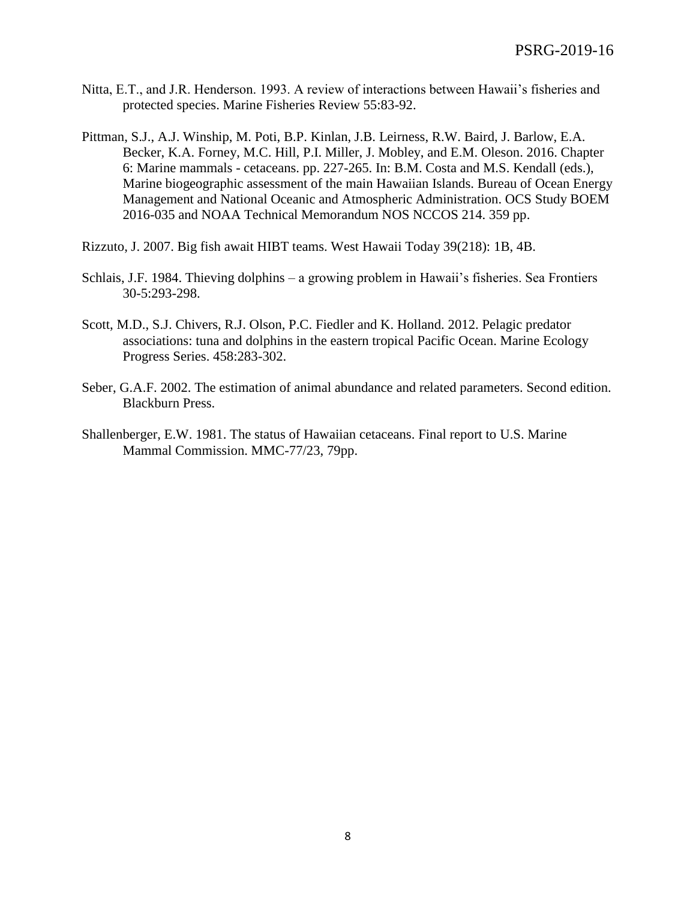- Nitta, E.T., and J.R. Henderson. 1993. A review of interactions between Hawaii's fisheries and protected species. Marine Fisheries Review 55:83-92.
- Pittman, S.J., A.J. Winship, M. Poti, B.P. Kinlan, J.B. Leirness, R.W. Baird, J. Barlow, E.A. Becker, K.A. Forney, M.C. Hill, P.I. Miller, J. Mobley, and E.M. Oleson. 2016. Chapter 6: Marine mammals - cetaceans. pp. 227-265. In: B.M. Costa and M.S. Kendall (eds.), Marine biogeographic assessment of the main Hawaiian Islands. Bureau of Ocean Energy Management and National Oceanic and Atmospheric Administration. OCS Study BOEM 2016-035 and NOAA Technical Memorandum NOS NCCOS 214. 359 pp.
- Rizzuto, J. 2007. Big fish await HIBT teams. West Hawaii Today 39(218): 1B, 4B.
- Schlais, J.F. 1984. Thieving dolphins a growing problem in Hawaii's fisheries. Sea Frontiers 30-5:293-298.
- Scott, M.D., S.J. Chivers, R.J. Olson, P.C. Fiedler and K. Holland. 2012. Pelagic predator associations: tuna and dolphins in the eastern tropical Pacific Ocean. Marine Ecology Progress Series. 458:283-302.
- Seber, G.A.F. 2002. The estimation of animal abundance and related parameters. Second edition. Blackburn Press.
- Shallenberger, E.W. 1981. The status of Hawaiian cetaceans. Final report to U.S. Marine Mammal Commission. MMC-77/23, 79pp.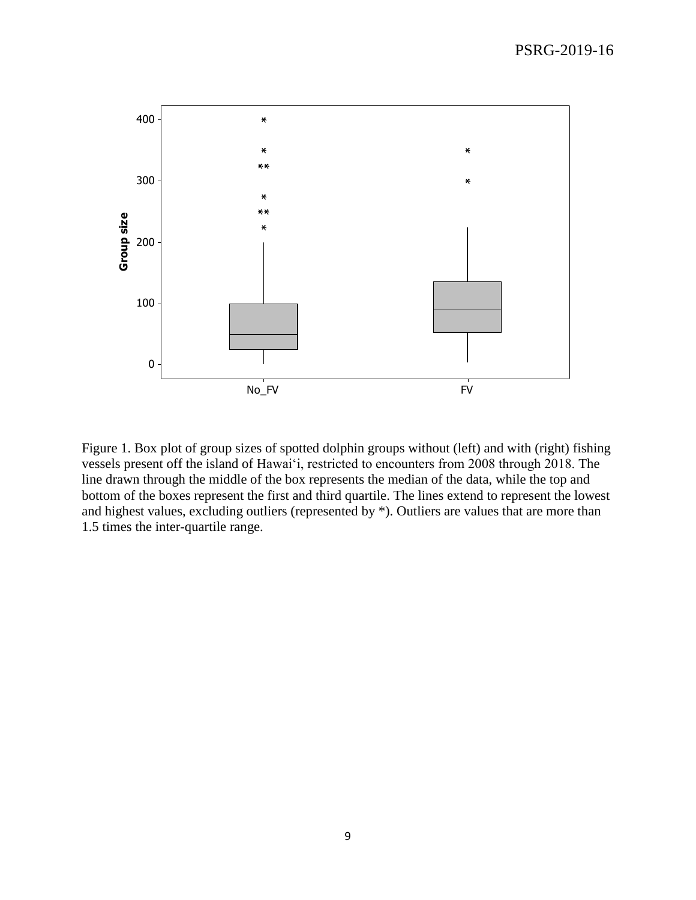

Figure 1. Box plot of group sizes of spotted dolphin groups without (left) and with (right) fishing vessels present off the island of Hawai'i, restricted to encounters from 2008 through 2018. The line drawn through the middle of the box represents the median of the data, while the top and bottom of the boxes represent the first and third quartile. The lines extend to represent the lowest and highest values, excluding outliers (represented by \*). Outliers are values that are more than 1.5 times the inter-quartile range.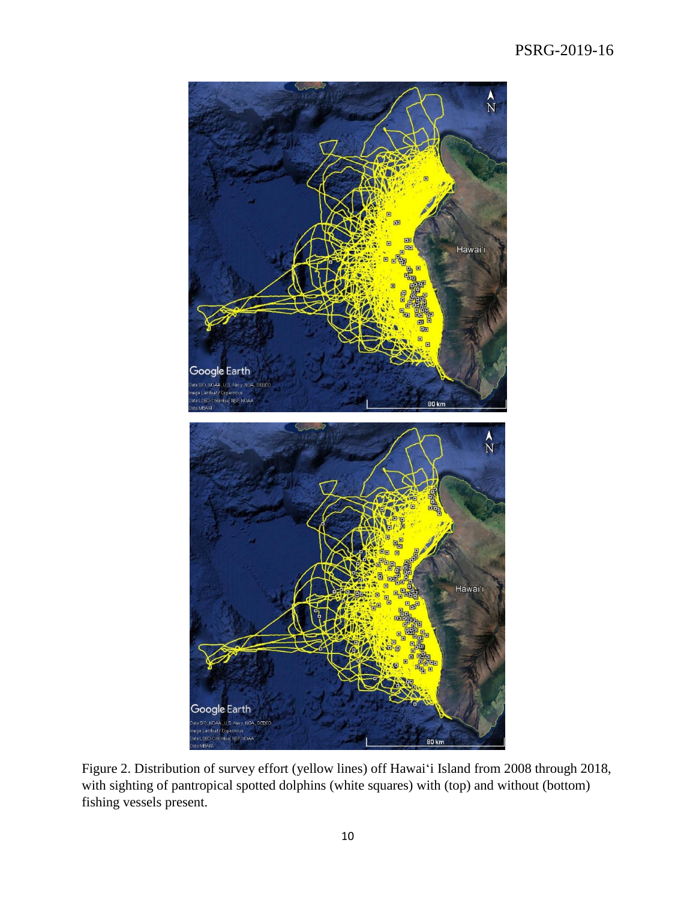# PSRG-2019-16



Figure 2. Distribution of survey effort (yellow lines) off Hawai'i Island from 2008 through 2018, with sighting of pantropical spotted dolphins (white squares) with (top) and without (bottom) fishing vessels present.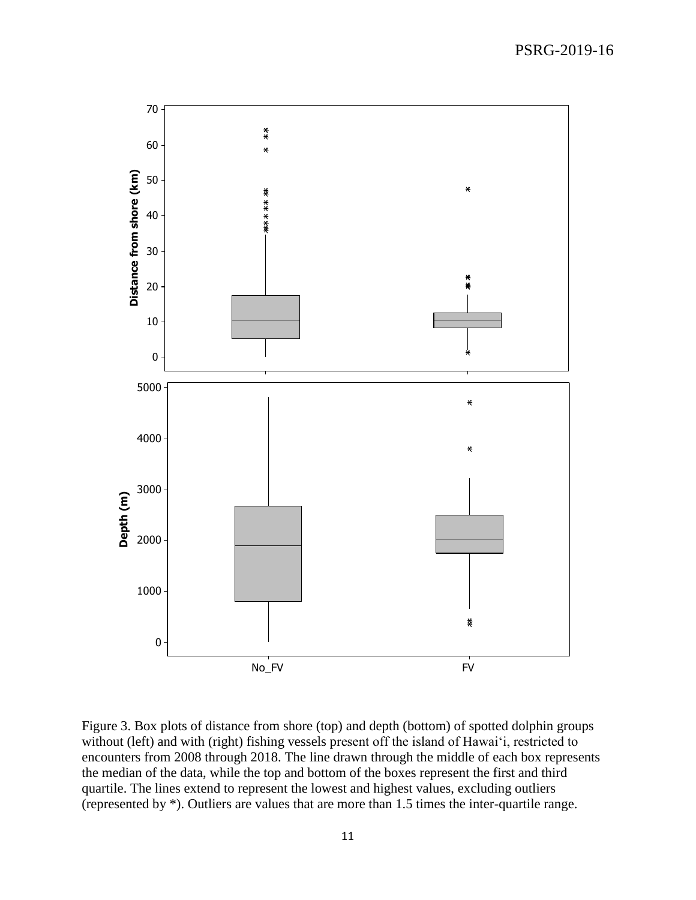

Figure 3. Box plots of distance from shore (top) and depth (bottom) of spotted dolphin groups without (left) and with (right) fishing vessels present off the island of Hawai'i, restricted to encounters from 2008 through 2018. The line drawn through the middle of each box represents the median of the data, while the top and bottom of the boxes represent the first and third quartile. The lines extend to represent the lowest and highest values, excluding outliers (represented by \*). Outliers are values that are more than 1.5 times the inter-quartile range.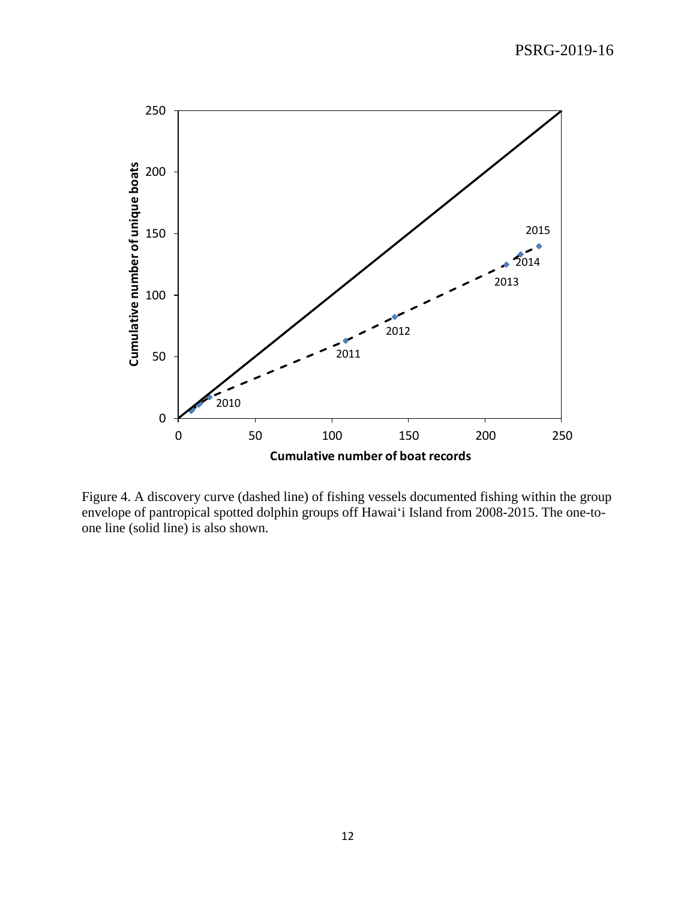## PSRG-2019-16



Figure 4. A discovery curve (dashed line) of fishing vessels documented fishing within the group envelope of pantropical spotted dolphin groups off Hawai'i Island from 2008-2015. The one-toone line (solid line) is also shown.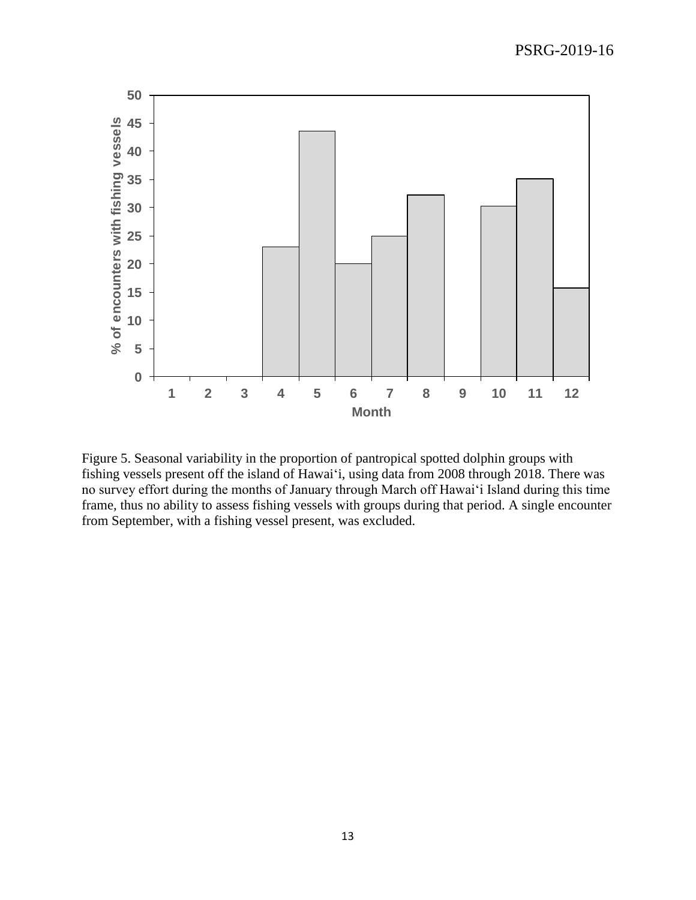

Figure 5. Seasonal variability in the proportion of pantropical spotted dolphin groups with fishing vessels present off the island of Hawai'i, using data from 2008 through 2018. There was no survey effort during the months of January through March off Hawai'i Island during this time frame, thus no ability to assess fishing vessels with groups during that period. A single encounter from September, with a fishing vessel present, was excluded.